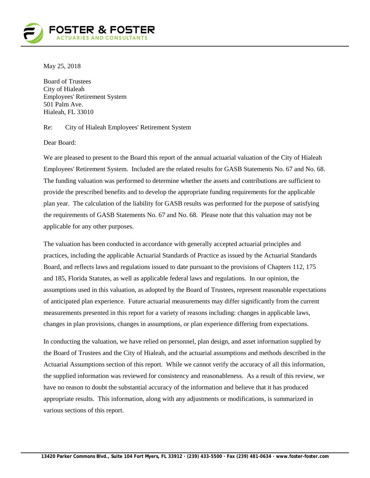

May 25, 2018

Board of Trustees City of Hialeah Employees' Retirement System 501 Palm Ave. Hialeah, FL 33010

Re: City of Hialeah Employees' Retirement System

Dear Board:

We are pleased to present to the Board this report of the annual actuarial valuation of the City of Hialeah Employees' Retirement System. Included are the related results for GASB Statements No. 67 and No. 68. The funding valuation was performed to determine whether the assets and contributions are sufficient to provide the prescribed benefits and to develop the appropriate funding requirements for the applicable plan year. The calculation of the liability for GASB results was performed for the purpose of satisfying the requirements of GASB Statements No. 67 and No. 68. Please note that this valuation may not be applicable for any other purposes.

The valuation has been conducted in accordance with generally accepted actuarial principles and practices, including the applicable Actuarial Standards of Practice as issued by the Actuarial Standards Board, and reflects laws and regulations issued to date pursuant to the provisions of Chapters 112, 175 and 185, Florida Statutes, as well as applicable federal laws and regulations. In our opinion, the assumptions used in this valuation, as adopted by the Board of Trustees, represent reasonable expectations of anticipated plan experience. Future actuarial measurements may differ significantly from the current measurements presented in this report for a variety of reasons including: changes in applicable laws, changes in plan provisions, changes in assumptions, or plan experience differing from expectations.

In conducting the valuation, we have relied on personnel, plan design, and asset information supplied by the Board of Trustees and the City of Hialeah, and the actuarial assumptions and methods described in the Actuarial Assumptions section of this report. While we cannot verify the accuracy of all this information, the supplied information was reviewed for consistency and reasonableness. As a result of this review, we have no reason to doubt the substantial accuracy of the information and believe that it has produced appropriate results. This information, along with any adjustments or modifications, is summarized in various sections of this report.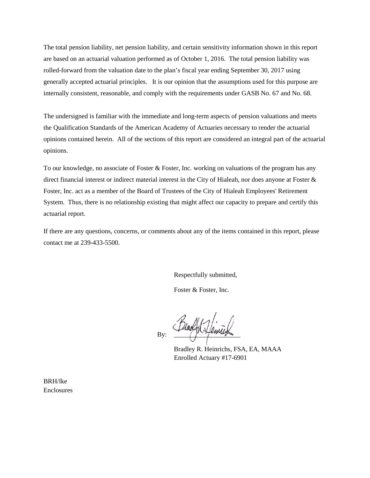The total pension liability, net pension liability, and certain sensitivity information shown in this report are based on an actuarial valuation performed as of October 1, 2016. The total pension liability was rolled-forward from the valuation date to the plan's fiscal year ending September 30, 2017 using generally accepted actuarial principles. It is our opinion that the assumptions used for this purpose are internally consistent, reasonable, and comply with the requirements under GASB No. 67 and No. 68.

The undersigned is familiar with the immediate and long-term aspects of pension valuations and meets the Qualification Standards of the American Academy of Actuaries necessary to render the actuarial opinions contained herein. All of the sections of this report are considered an integral part of the actuarial opinions.

To our knowledge, no associate of Foster & Foster, Inc. working on valuations of the program has any direct financial interest or indirect material interest in the City of Hialeah, nor does anyone at Foster & Foster, Inc. act as a member of the Board of Trustees of the City of Hialeah Employees' Retirement System. Thus, there is no relationship existing that might affect our capacity to prepare and certify this actuarial report.

If there are any questions, concerns, or comments about any of the items contained in this report, please contact me at 239-433-5500.

Respectfully submitted,

Foster & Foster, Inc.

By:  $\frac{1}{\sqrt{2\pi}}$ 

Bradley R. Heinrichs, FSA, EA, MAAA Enrolled Actuary #17-6901

BRH/lke Enclosures